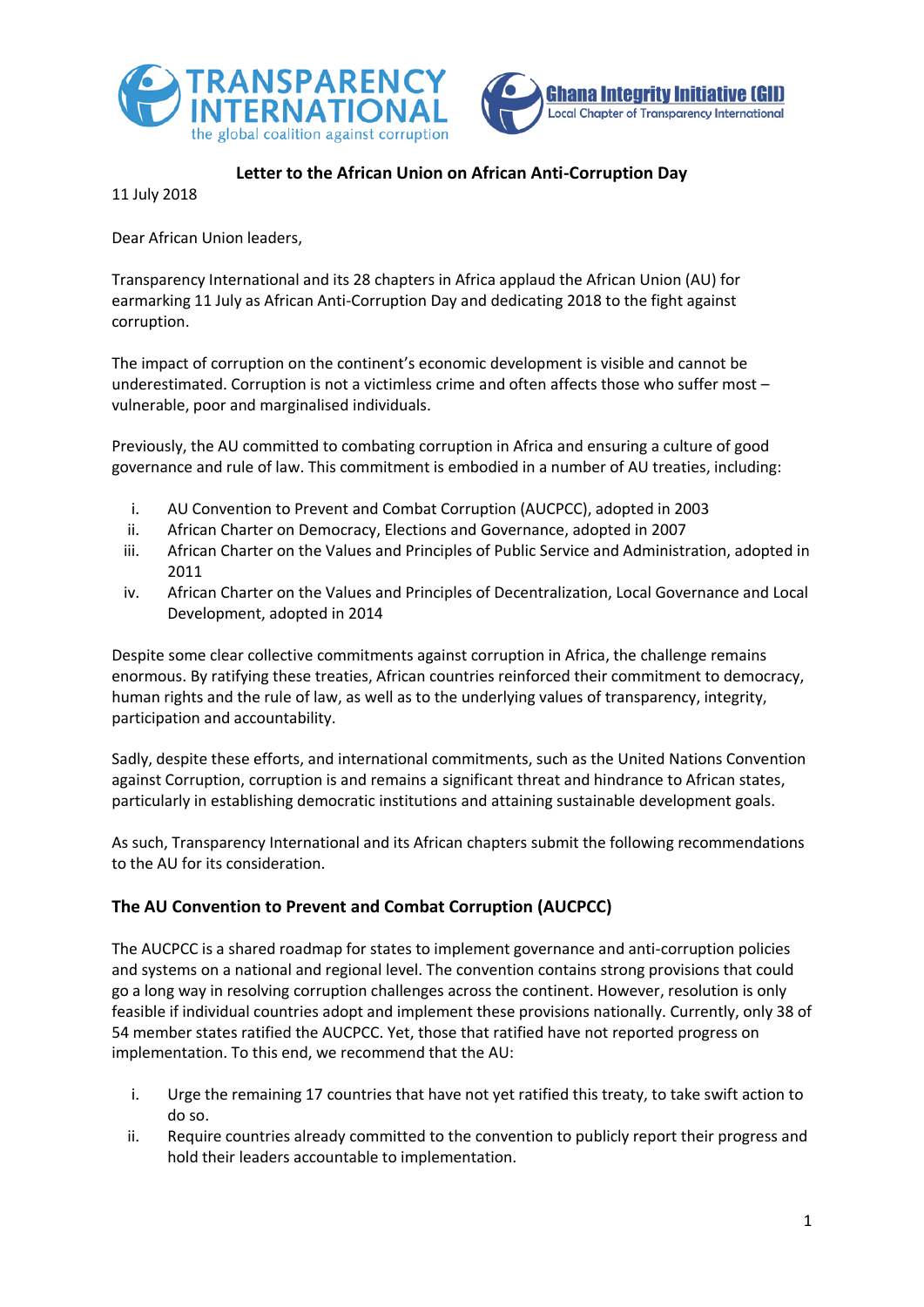



## **Letter to the African Union on African Anti-Corruption Day**

11 July 2018

Dear African Union leaders,

Transparency International and its 28 chapters in Africa applaud the African Union (AU) for earmarking 11 July as African Anti-Corruption Day and dedicating 2018 to the fight against corruption.

The impact of corruption on the continent's economic development is visible and cannot be underestimated. Corruption is not a victimless crime and often affects those who suffer most – vulnerable, poor and marginalised individuals.

Previously, the AU committed to combating corruption in Africa and ensuring a culture of good governance and rule of law. This commitment is embodied in a number of AU treaties, including:

- i. AU Convention to Prevent and Combat Corruption (AUCPCC), adopted in 2003
- ii. African Charter on Democracy, Elections and Governance, adopted in 2007
- iii. African Charter on the Values and Principles of Public Service and Administration, adopted in 2011
- iv. African Charter on the Values and Principles of Decentralization, Local Governance and Local Development, adopted in 2014

Despite some clear collective commitments against corruption in Africa, the challenge remains enormous. By ratifying these treaties, African countries reinforced their commitment to democracy, human rights and the rule of law, as well as to the underlying values of transparency, integrity, participation and accountability.

Sadly, despite these efforts, and international commitments, such as the United Nations Convention against Corruption, corruption is and remains a significant threat and hindrance to African states, particularly in establishing democratic institutions and attaining sustainable development goals.

As such, Transparency International and its African chapters submit the following recommendations to the AU for its consideration.

# **The AU Convention to Prevent and Combat Corruption (AUCPCC)**

The AUCPCC is a shared roadmap for states to implement governance and anti-corruption policies and systems on a national and regional level. The convention contains strong provisions that could go a long way in resolving corruption challenges across the continent. However, resolution is only feasible if individual countries adopt and implement these provisions nationally. Currently, only 38 of 54 member states ratified the AUCPCC. Yet, those that ratified have not reported progress on implementation. To this end, we recommend that the AU:

- i. Urge the remaining 17 countries that have not yet ratified this treaty, to take swift action to do so.
- ii. Require countries already committed to the convention to publicly report their progress and hold their leaders accountable to implementation.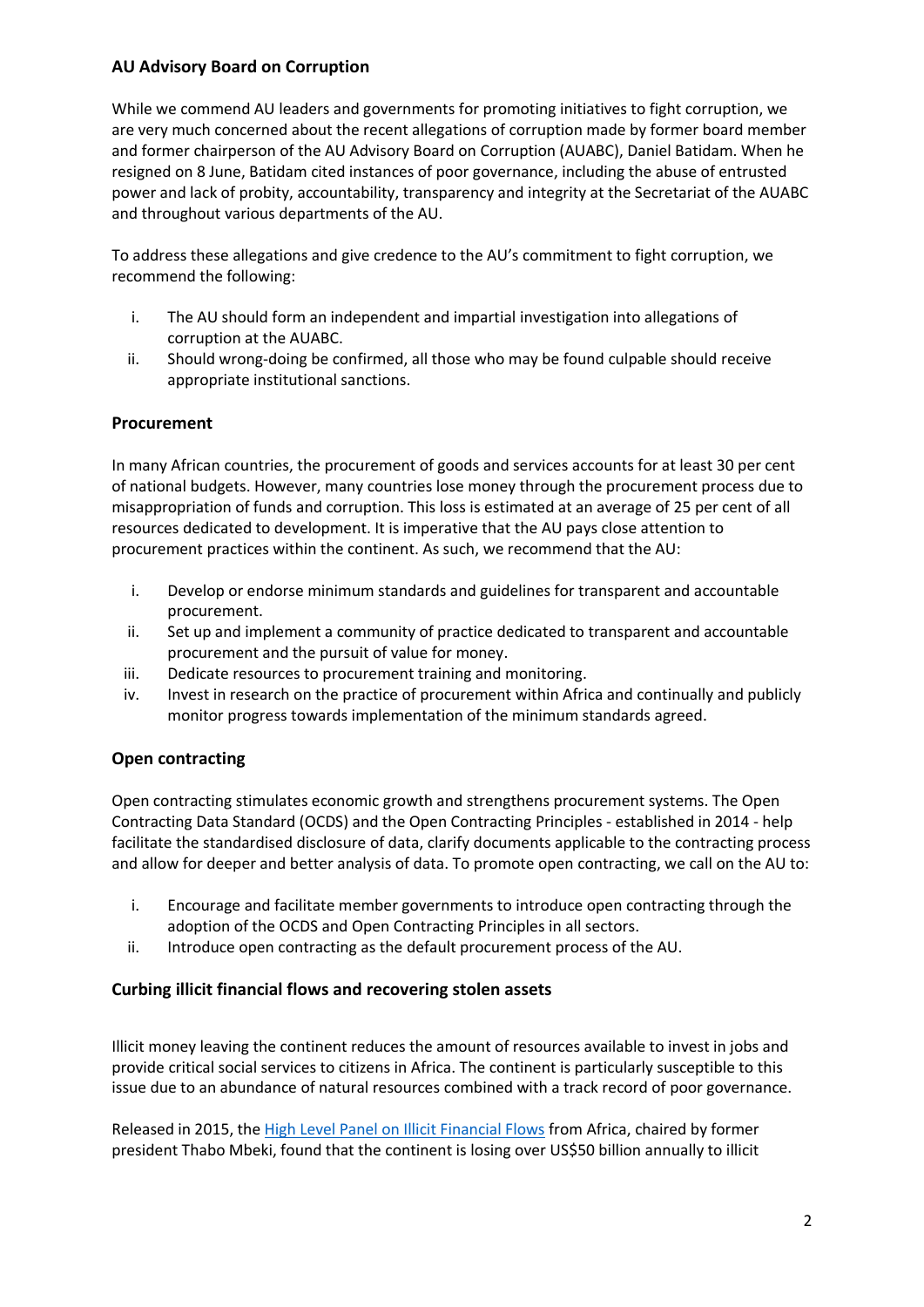## **AU Advisory Board on Corruption**

While we commend AU leaders and governments for promoting initiatives to fight corruption, we are very much concerned about the recent allegations of corruption made by former board member and former chairperson of the AU Advisory Board on Corruption (AUABC), Daniel Batidam. When he resigned on 8 June, Batidam cited instances of poor governance, including the abuse of entrusted power and lack of probity, accountability, transparency and integrity at the Secretariat of the AUABC and throughout various departments of the AU.

To address these allegations and give credence to the AU's commitment to fight corruption, we recommend the following:

- i. The AU should form an independent and impartial investigation into allegations of corruption at the AUABC.
- ii. Should wrong-doing be confirmed, all those who may be found culpable should receive appropriate institutional sanctions.

## **Procurement**

In many African countries, the procurement of goods and services accounts for at least 30 per cent of national budgets. However, many countries lose money through the procurement process due to misappropriation of funds and corruption. This loss is estimated at an average of 25 per cent of all resources dedicated to development. It is imperative that the AU pays close attention to procurement practices within the continent. As such, we recommend that the AU:

- i. Develop or endorse minimum standards and guidelines for transparent and accountable procurement.
- ii. Set up and implement a community of practice dedicated to transparent and accountable procurement and the pursuit of value for money.
- iii. Dedicate resources to procurement training and monitoring.
- iv. Invest in research on the practice of procurement within Africa and continually and publicly monitor progress towards implementation of the minimum standards agreed.

# **Open contracting**

Open contracting stimulates economic growth and strengthens procurement systems. The Open Contracting Data Standard (OCDS) and the Open Contracting Principles - established in 2014 - help facilitate the standardised disclosure of data, clarify documents applicable to the contracting process and allow for deeper and better analysis of data. To promote open contracting, we call on the AU to:

- i. Encourage and facilitate member governments to introduce open contracting through the adoption of the OCDS and Open Contracting Principles in all sectors.
- ii. Introduce open contracting as the default procurement process of the AU.

#### **Curbing illicit financial flows and recovering stolen assets**

Illicit money leaving the continent reduces the amount of resources available to invest in jobs and provide critical social services to citizens in Africa. The continent is particularly susceptible to this issue due to an abundance of natural resources combined with a track record of poor governance.

Released in 2015, th[e High Level Panel on Illicit Financial Flows](https://www.uneca.org/iff) from Africa, chaired by former president Thabo Mbeki, found that the continent is losing over US\$50 billion annually to illicit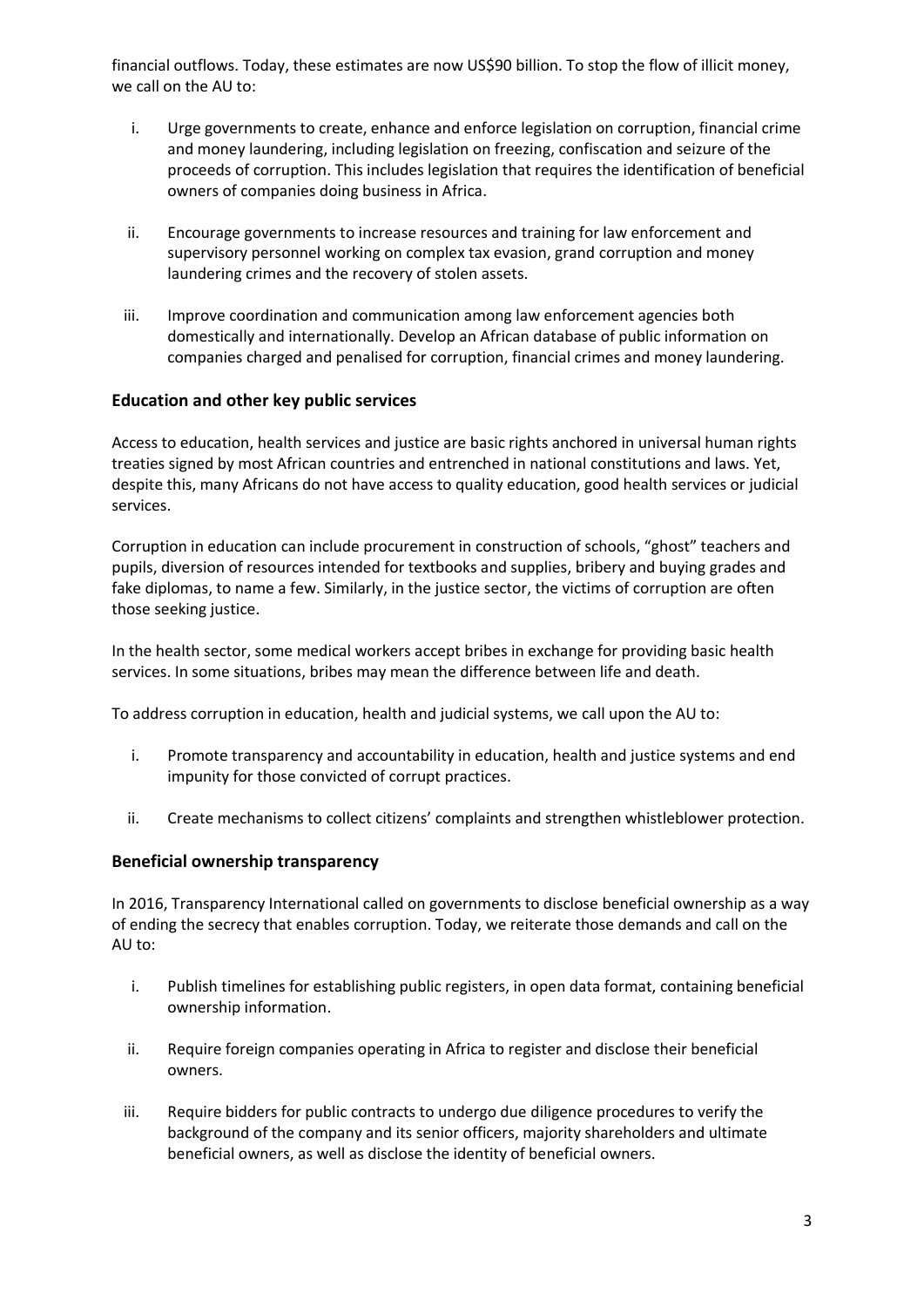financial outflows. Today, these estimates are now US\$90 billion. To stop the flow of illicit money, we call on the AU to:

- i. Urge governments to create, enhance and enforce legislation on corruption, financial crime and money laundering, including legislation on freezing, confiscation and seizure of the proceeds of corruption. This includes legislation that requires the identification of beneficial owners of companies doing business in Africa.
- ii. Encourage governments to increase resources and training for law enforcement and supervisory personnel working on complex tax evasion, grand corruption and money laundering crimes and the recovery of stolen assets.
- iii. Improve coordination and communication among law enforcement agencies both domestically and internationally. Develop an African database of public information on companies charged and penalised for corruption, financial crimes and money laundering.

## **Education and other key public services**

Access to education, health services and justice are basic rights anchored in universal human rights treaties signed by most African countries and entrenched in national constitutions and laws. Yet, despite this, many Africans do not have access to quality education, good health services or judicial services.

Corruption in education can include procurement in construction of schools, "ghost" teachers and pupils, diversion of resources intended for textbooks and supplies, bribery and buying grades and fake diplomas, to name a few. Similarly, in the justice sector, the victims of corruption are often those seeking justice.

In the health sector, some medical workers accept bribes in exchange for providing basic health services. In some situations, bribes may mean the difference between life and death.

To address corruption in education, health and judicial systems, we call upon the AU to:

- i. Promote transparency and accountability in education, health and justice systems and end impunity for those convicted of corrupt practices.
- ii. Create mechanisms to collect citizens' complaints and strengthen whistleblower protection.

#### **Beneficial ownership transparency**

In 2016, Transparency International called on governments to disclose beneficial ownership as a way of ending the secrecy that enables corruption. Today, we reiterate those demands and call on the AU to:

- i. Publish timelines for establishing public registers, in open data format, containing beneficial ownership information.
- ii. Require foreign companies operating in Africa to register and disclose their beneficial owners.
- iii. Require bidders for public contracts to undergo due diligence procedures to verify the background of the company and its senior officers, majority shareholders and ultimate beneficial owners, as well as disclose the identity of beneficial owners.